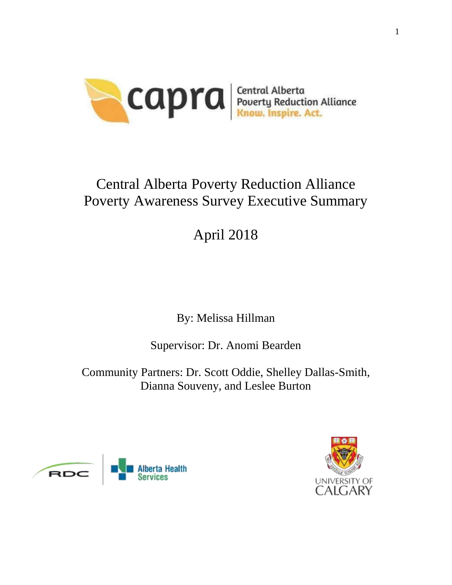

# Central Alberta Poverty Reduction Alliance Poverty Awareness Survey Executive Summary

# April 2018

By: Melissa Hillman

Supervisor: Dr. Anomi Bearden

Community Partners: Dr. Scott Oddie, Shelley Dallas-Smith, Dianna Souveny, and Leslee Burton



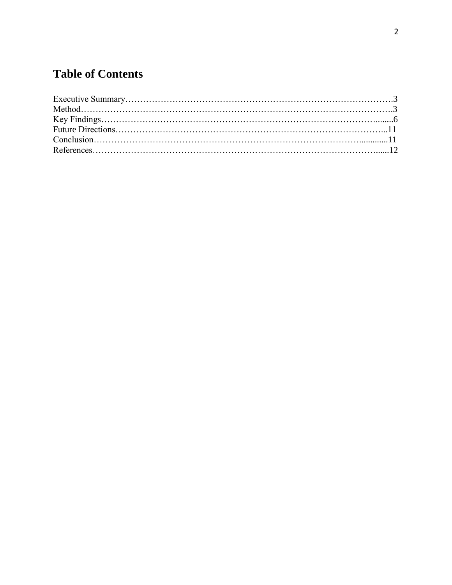# **Table of Contents**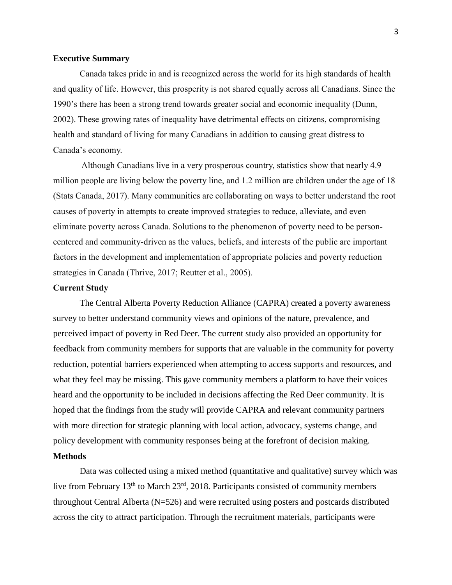#### **Executive Summary**

Canada takes pride in and is recognized across the world for its high standards of health and quality of life. However, this prosperity is not shared equally across all Canadians. Since the 1990's there has been a strong trend towards greater social and economic inequality (Dunn, 2002). These growing rates of inequality have detrimental effects on citizens, compromising health and standard of living for many Canadians in addition to causing great distress to Canada's economy.

Although Canadians live in a very prosperous country, statistics show that nearly 4.9 million people are living below the poverty line, and 1.2 million are children under the age of 18 (Stats Canada, 2017). Many communities are collaborating on ways to better understand the root causes of poverty in attempts to create improved strategies to reduce, alleviate, and even eliminate poverty across Canada. Solutions to the phenomenon of poverty need to be personcentered and community-driven as the values, beliefs, and interests of the public are important factors in the development and implementation of appropriate policies and poverty reduction strategies in Canada (Thrive, 2017; Reutter et al., 2005).

#### **Current Study**

The Central Alberta Poverty Reduction Alliance (CAPRA) created a poverty awareness survey to better understand community views and opinions of the nature, prevalence, and perceived impact of poverty in Red Deer. The current study also provided an opportunity for feedback from community members for supports that are valuable in the community for poverty reduction, potential barriers experienced when attempting to access supports and resources, and what they feel may be missing. This gave community members a platform to have their voices heard and the opportunity to be included in decisions affecting the Red Deer community. It is hoped that the findings from the study will provide CAPRA and relevant community partners with more direction for strategic planning with local action, advocacy, systems change, and policy development with community responses being at the forefront of decision making.

#### **Methods**

Data was collected using a mixed method (quantitative and qualitative) survey which was live from February 13th to March 23rd, 2018. Participants consisted of community members throughout Central Alberta (N=526) and were recruited using posters and postcards distributed across the city to attract participation. Through the recruitment materials, participants were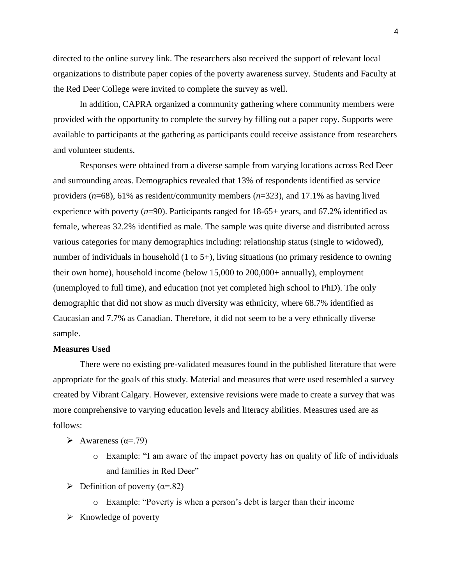directed to the online survey link. The researchers also received the support of relevant local organizations to distribute paper copies of the poverty awareness survey. Students and Faculty at the Red Deer College were invited to complete the survey as well.

In addition, CAPRA organized a community gathering where community members were provided with the opportunity to complete the survey by filling out a paper copy. Supports were available to participants at the gathering as participants could receive assistance from researchers and volunteer students.

Responses were obtained from a diverse sample from varying locations across Red Deer and surrounding areas. Demographics revealed that 13% of respondents identified as service providers (*n*=68), 61% as resident/community members (*n*=323), and 17.1% as having lived experience with poverty (*n*=90). Participants ranged for 18-65+ years, and 67.2% identified as female, whereas 32.2% identified as male. The sample was quite diverse and distributed across various categories for many demographics including: relationship status (single to widowed), number of individuals in household (1 to 5+), living situations (no primary residence to owning their own home), household income (below 15,000 to 200,000+ annually), employment (unemployed to full time), and education (not yet completed high school to PhD). The only demographic that did not show as much diversity was ethnicity, where 68.7% identified as Caucasian and 7.7% as Canadian. Therefore, it did not seem to be a very ethnically diverse sample.

#### **Measures Used**

There were no existing pre-validated measures found in the published literature that were appropriate for the goals of this study. Material and measures that were used resembled a survey created by Vibrant Calgary. However, extensive revisions were made to create a survey that was more comprehensive to varying education levels and literacy abilities. Measures used are as follows:

- $\triangleright$  Awareness ( $\alpha$ =.79)
	- o Example: "I am aware of the impact poverty has on quality of life of individuals and families in Red Deer"
- $\triangleright$  Definition of poverty ( $\alpha$ =.82)
	- o Example: "Poverty is when a person's debt is larger than their income
- $\triangleright$  Knowledge of poverty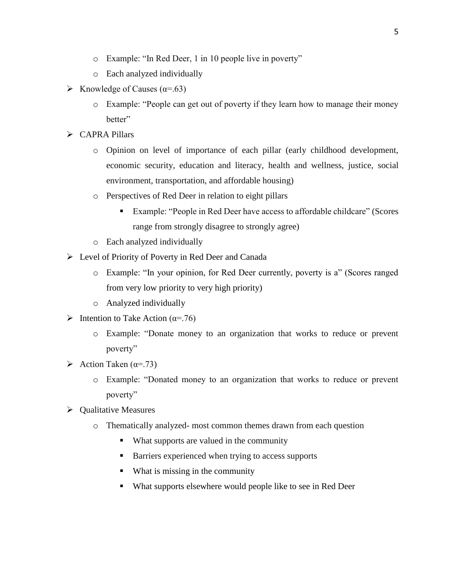- o Example: "In Red Deer, 1 in 10 people live in poverty"
- o Each analyzed individually
- S Knowledge of Causes ( $\alpha$ =.63)
	- o Example: "People can get out of poverty if they learn how to manage their money better"
- CAPRA Pillars
	- o Opinion on level of importance of each pillar (early childhood development, economic security, education and literacy, health and wellness, justice, social environment, transportation, and affordable housing)
	- o Perspectives of Red Deer in relation to eight pillars
		- Example: "People in Red Deer have access to affordable childcare" (Scores range from strongly disagree to strongly agree)
	- o Each analyzed individually
- Level of Priority of Poverty in Red Deer and Canada
	- o Example: "In your opinion, for Red Deer currently, poverty is a" (Scores ranged from very low priority to very high priority)
	- o Analyzed individually
- $\triangleright$  Intention to Take Action ( $\alpha$ =.76)
	- o Example: "Donate money to an organization that works to reduce or prevent poverty"
- Action Taken ( $\alpha$ =.73)
	- o Example: "Donated money to an organization that works to reduce or prevent poverty"
- $\triangleright$  Qualitative Measures
	- o Thematically analyzed- most common themes drawn from each question
		- What supports are valued in the community
		- Barriers experienced when trying to access supports
		- What is missing in the community
		- What supports elsewhere would people like to see in Red Deer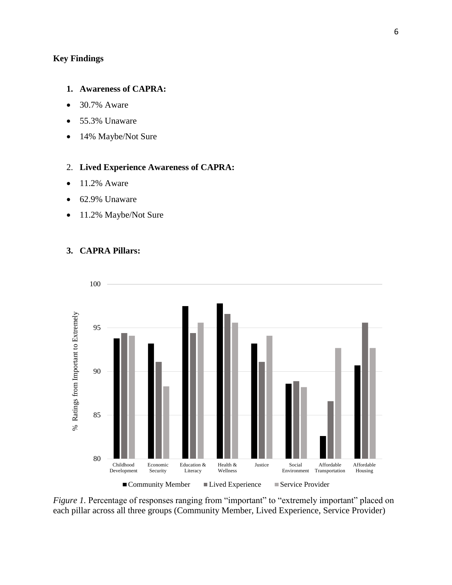# **Key Findings**

#### **1. Awareness of CAPRA:**

- 30.7% Aware
- 55.3% Unaware
- 14% Maybe/Not Sure

## 2. **Lived Experience Awareness of CAPRA:**

- $\bullet$  11.2% Aware
- 62.9% Unaware
- 11.2% Maybe/Not Sure

#### **3. CAPRA Pillars:**



*Figure 1.* Percentage of responses ranging from "important" to "extremely important" placed on each pillar across all three groups (Community Member, Lived Experience, Service Provider)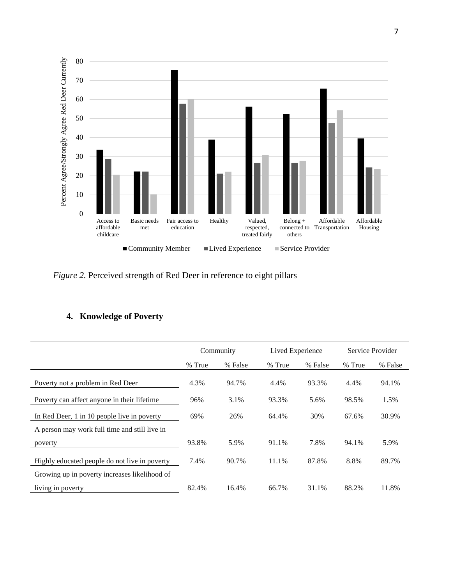

*Figure 2.* Perceived strength of Red Deer in reference to eight pillars

## **4. Knowledge of Poverty**

|                                               | Community |         | Lived Experience |         | Service Provider |         |
|-----------------------------------------------|-----------|---------|------------------|---------|------------------|---------|
|                                               | % True    | % False | % True           | % False | % True           | % False |
| Poverty not a problem in Red Deer             | 4.3%      | 94.7%   | 4.4%             | 93.3%   | 4.4%             | 94.1%   |
| Poverty can affect anyone in their lifetime   | 96%       | 3.1%    | 93.3%            | 5.6%    | 98.5%            | 1.5%    |
| In Red Deer, 1 in 10 people live in poverty   | 69%       | 26%     | 64.4%            | 30%     | 67.6%            | 30.9%   |
| A person may work full time and still live in |           |         |                  |         |                  |         |
| poverty                                       | 93.8%     | 5.9%    | 91.1%            | 7.8%    | 94.1%            | 5.9%    |
| Highly educated people do not live in poverty | 7.4%      | 90.7%   | 11.1%            | 87.8%   | 8.8%             | 89.7%   |
| Growing up in poverty increases likelihood of |           |         |                  |         |                  |         |
| living in poverty                             | 82.4%     | 16.4%   | 66.7%            | 31.1%   | 88.2%            | 11.8%   |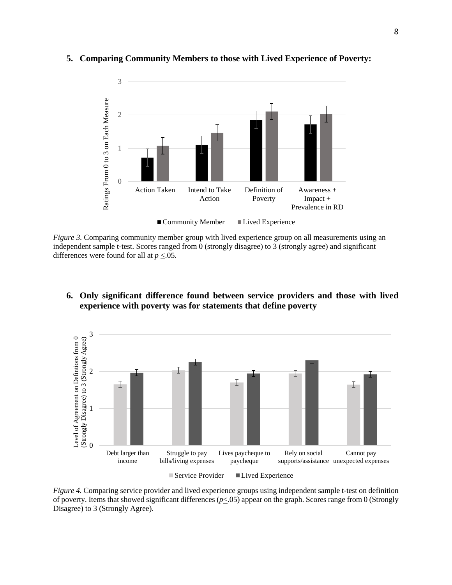

#### **5. Comparing Community Members to those with Lived Experience of Poverty:**

*Figure 3.* Comparing community member group with lived experience group on all measurements using an independent sample t-test. Scores ranged from 0 (strongly disagree) to 3 (strongly agree) and significant differences were found for all at  $p \leq 0.05$ .

#### **6. Only significant difference found between service providers and those with lived experience with poverty was for statements that define poverty**



*Figure 4.* Comparing service provider and lived experience groups using independent sample t-test on definition of poverty. Items that showed significant differences (*p*<.05) appear on the graph. Scores range from 0 (Strongly Disagree) to 3 (Strongly Agree).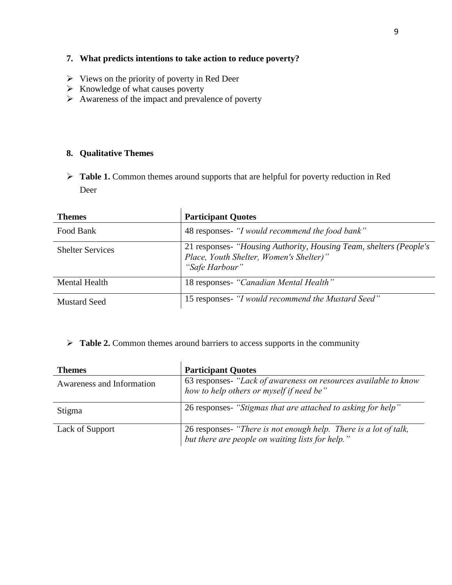# **7. What predicts intentions to take action to reduce poverty?**

- $\triangleright$  Views on the priority of poverty in Red Deer
- $\triangleright$  Knowledge of what causes poverty
- $\triangleright$  Awareness of the impact and prevalence of poverty

### **8. Qualitative Themes**

**Table 1.** Common themes around supports that are helpful for poverty reduction in Red Deer

| <b>Themes</b>           | <b>Participant Quotes</b>                                                                                                       |
|-------------------------|---------------------------------------------------------------------------------------------------------------------------------|
| Food Bank               | 48 responses- "I would recommend the food bank"                                                                                 |
| <b>Shelter Services</b> | 21 responses- "Housing Authority, Housing Team, shelters (People's<br>Place, Youth Shelter, Women's Shelter)"<br>"Safe Harbour" |
| <b>Mental Health</b>    | 18 responses- "Canadian Mental Health"                                                                                          |
| <b>Mustard Seed</b>     | 15 responses- "I would recommend the Mustard Seed"                                                                              |

**Table 2.** Common themes around barriers to access supports in the community

| <b>Themes</b>             | <b>Participant Quotes</b>                                                                                         |
|---------------------------|-------------------------------------------------------------------------------------------------------------------|
| Awareness and Information | 63 responses- "Lack of awareness on resources available to know<br>how to help others or myself if need be"       |
| Stigma                    | 26 responses- "Stigmas that are attached to asking for help"                                                      |
| Lack of Support           | 26 responses- "There is not enough help. There is a lot of talk, but there are people on waiting lists for help." |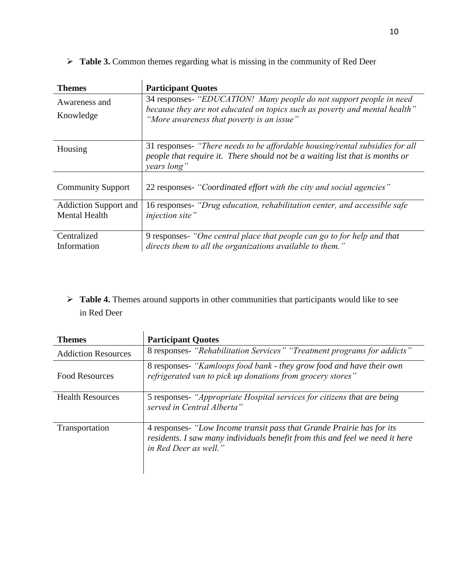| <b>Themes</b>                                        | <b>Participant Quotes</b>                                                                                                                                                                      |
|------------------------------------------------------|------------------------------------------------------------------------------------------------------------------------------------------------------------------------------------------------|
| Awareness and<br>Knowledge                           | 34 responses- "EDUCATION! Many people do not support people in need<br>because they are not educated on topics such as poverty and mental health"<br>"More awareness that poverty is an issue" |
| Housing                                              | 31 responses- "There needs to be affordable housing/rental subsidies for all<br>people that require it. There should not be a waiting list that is months or<br>years long"                    |
| <b>Community Support</b>                             | 22 responses- "Coordinated effort with the city and social agencies"                                                                                                                           |
| <b>Addiction Support and</b><br><b>Mental Health</b> | 16 responses- "Drug education, rehabilitation center, and accessible safe<br>injection site"                                                                                                   |
| Centralized<br>Information                           | 9 responses- "One central place that people can go to for help and that<br>directs them to all the organizations available to them."                                                           |

**►** Table 3. Common themes regarding what is missing in the community of Red Deer

> Table 4. Themes around supports in other communities that participants would like to see in Red Deer

| <b>Themes</b>              | <b>Participant Quotes</b>                                                                                                                                                      |
|----------------------------|--------------------------------------------------------------------------------------------------------------------------------------------------------------------------------|
| <b>Addiction Resources</b> | 8 responses- "Rehabilitation Services" "Treatment programs for addicts"                                                                                                        |
| <b>Food Resources</b>      | 8 responses- "Kamloops food bank - they grow food and have their own<br>refrigerated van to pick up donations from grocery stores"                                             |
| <b>Health Resources</b>    | 5 responses- "Appropriate Hospital services for citizens that are being<br>served in Central Alberta"                                                                          |
| Transportation             | 4 responses- "Low Income transit pass that Grande Prairie has for its<br>residents. I saw many individuals benefit from this and feel we need it here<br>in Red Deer as well." |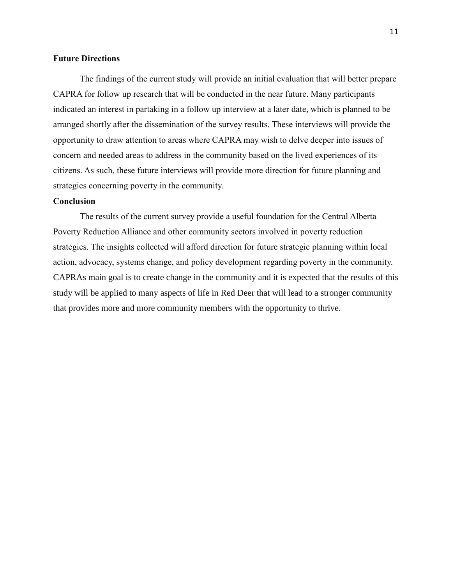#### **Future Directions**

The findings of the current study will provide an initial evaluation that will better prepare CAPRA for follow up research that will be conducted in the near future. Many participants indicated an interest in partaking in a follow up interview at a later date, which is planned to be arranged shortly after the dissemination of the survey results. These interviews will provide the opportunity to draw attention to areas where CAPRA may wish to delve deeper into issues of concern and needed areas to address in the community based on the lived experiences of its citizens. As such, these future interviews will provide more direction for future planning and strategies concerning poverty in the community.

#### **Conclusion**

The results of the current survey provide a useful foundation for the Central Alberta Poverty Reduction Alliance and other community sectors involved in poverty reduction strategies. The insights collected will afford direction for future strategic planning within local action, advocacy, systems change, and policy development regarding poverty in the community. CAPRAs main goal is to create change in the community and it is expected that the results of this study will be applied to many aspects of life in Red Deer that will lead to a stronger community that provides more and more community members with the opportunity to thrive.